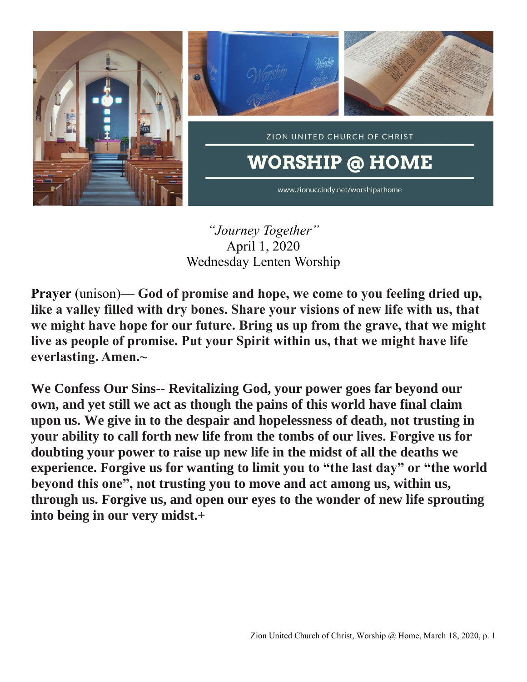

## *"Journey Together"* April 1, 2020 Wednesday Lenten Worship

**Prayer** (unison)— **God of promise and hope, we come to you feeling dried up, like a valley filled with dry bones. Share your visions of new life with us, that we might have hope for our future. Bring us up from the grave, that we might live as people of promise. Put your Spirit within us, that we might have life everlasting. Amen.~**

**We Confess Our Sins-- Revitalizing God, your power goes far beyond our own, and yet still we act as though the pains of this world have final claim upon us. We give in to the despair and hopelessness of death, not trusting in your ability to call forth new life from the tombs of our lives. Forgive us for doubting your power to raise up new life in the midst of all the deaths we experience. Forgive us for wanting to limit you to "the last day" or "the world beyond this one", not trusting you to move and act among us, within us, through us. Forgive us, and open our eyes to the wonder of new life sprouting into being in our very midst.+**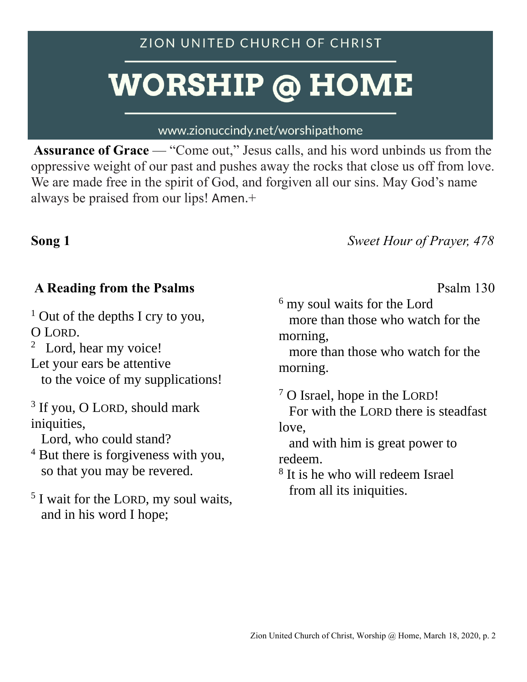# **WORSHIP @ HOME**

### www.zionuccindy.net/worshipathome

Assurance of Grace — "Come out," Jesus calls, and his word unbinds us from the oppressive weight of our past and pushes away the rocks that close us off from love. We are made free in the spirit of God, and forgiven all our sins. May God's name always be praised from our lips! Amen.+

## **Song 1** *Sweet Hour of Prayer, 478*

# A Reading from the Psalms **Psalm 130**

 $1$  Out of the depths I cry to you, O LORD.

<sup>2</sup> Lord, hear my voice!

Let your ears be attentive

to the voice of my supplications!

<sup>3</sup> If you, O LORD, should mark iniquities,

Lord, who could stand?

<sup>4</sup> But there is forgiveness with you, so that you may be revered.

<sup>5</sup> I wait for the LORD, my soul waits, and in his word I hope;

<sup>6</sup> my soul waits for the Lord more than those who watch for the

morning,

 more than those who watch for the morning.

<sup>7</sup> O Israel, hope in the LORD!

 For with the LORD there is steadfast love,

 and with him is great power to redeem.

<sup>8</sup> It is he who will redeem Israel from all its iniquities.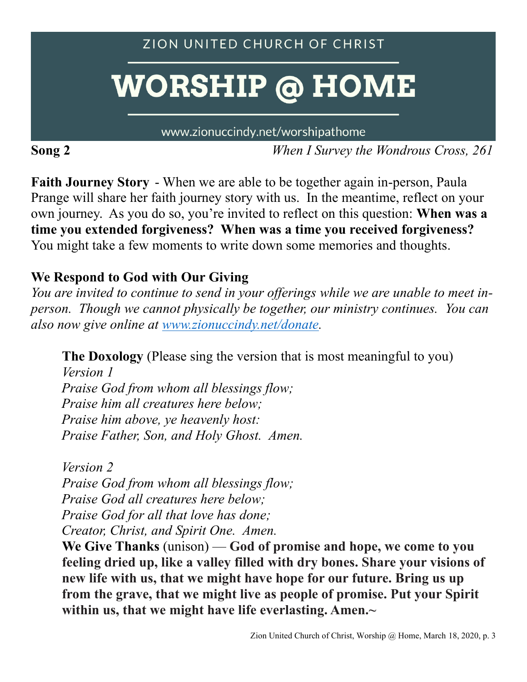ZION UNITED CHURCH OF CHRIST

# **WORSHIP @ HOME**

www.zionuccindy.net/worshipathome

**Song 2** *When I Survey the Wondrous Cross, 261*

**Faith Journey Story** - When we are able to be together again in-person, Paula Prange will share her faith journey story with us. In the meantime, reflect on your own journey. As you do so, you're invited to reflect on this question: **When was a time you extended forgiveness? When was a time you received forgiveness?** You might take a few moments to write down some memories and thoughts.

# **We Respond to God with Our Giving**

*You are invited to continue to send in your offerings while we are unable to meet inperson. Though we cannot physically be together, our ministry continues. You can also now give online at [www.zionuccindy.net/donate.](http://www.zionuccindy.net/donate)* 

**The Doxology** (Please sing the version that is most meaningful to you)

*Version 1 Praise God from whom all blessings flow; Praise him all creatures here below; Praise him above, ye heavenly host: Praise Father, Son, and Holy Ghost. Amen.*

*Version 2 Praise God from whom all blessings flow; Praise God all creatures here below; Praise God for all that love has done; Creator, Christ, and Spirit One. Amen.* 

**We Give Thanks** (unison) — **God of promise and hope, we come to you feeling dried up, like a valley filled with dry bones. Share your visions of new life with us, that we might have hope for our future. Bring us up from the grave, that we might live as people of promise. Put your Spirit within us, that we might have life everlasting. Amen.~**